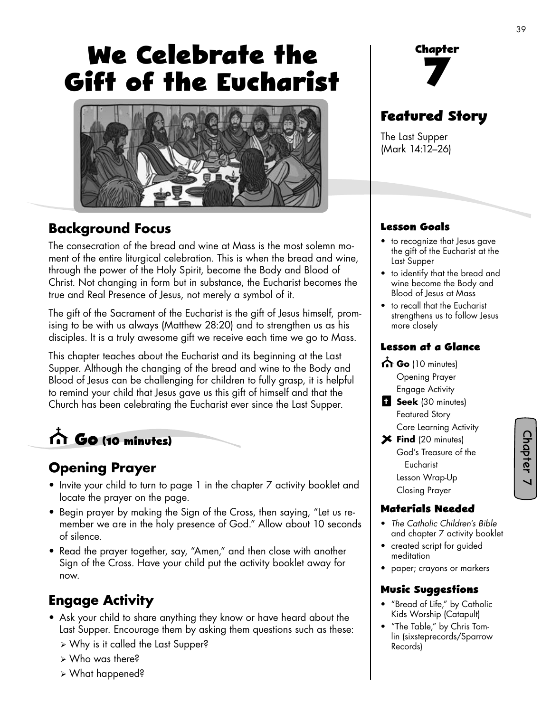# **We Celebrate the Gift of the Eucharist**



### **Background Focus**

The consecration of the bread and wine at Mass is the most solemn moment of the entire liturgical celebration. This is when the bread and wine, through the power of the Holy Spirit, become the Body and Blood of Christ. Not changing in form but in substance, the Eucharist becomes the true and Real Presence of Jesus, not merely a symbol of it.

The gift of the Sacrament of the Eucharist is the gift of Jesus himself, promising to be with us always (Matthew 28:20) and to strengthen us as his disciples. It is a truly awesome gift we receive each time we go to Mass.

This chapter teaches about the Eucharist and its beginning at the Last Supper. Although the changing of the bread and wine to the Body and Blood of Jesus can be challenging for children to fully grasp, it is helpful to remind your child that Jesus gave us this gift of himself and that the Church has been celebrating the Eucharist ever since the Last Supper.

# **Go (10 minutes)**

## **Opening Prayer**

- Invite your child to turn to page 1 in the chapter 7 activity booklet and locate the prayer on the page.
- Begin prayer by making the Sign of the Cross, then saying, "Let us remember we are in the holy presence of God." Allow about 10 seconds of silence.
- Read the prayer together, say, "Amen," and then close with another Sign of the Cross. Have your child put the activity booklet away for now.

## **Engage Activity**

- Ask your child to share anything they know or have heard about the Last Supper. Encourage them by asking them questions such as these:
	- ¾ Why is it called the Last Supper?
	- ¾ Who was there?
	- ¾ What happened?

**Chapter 7**

# **Featured Story**

The Last Supper (Mark 14:12–26)

#### **Lesson Goals**

- to recognize that Jesus gave the gift of the Eucharist at the Last Supper
- to identify that the bread and wine become the Body and Blood of Jesus at Mass
- to recall that the Eucharist strengthens us to follow Jesus more closely

#### **Lesson at a Glance**

- Go (10 minutes) Opening Prayer Engage Activity
- **B** Seek (30 minutes) Featured Story Core Learning Activity
- **Find** (20 minutes) God's Treasure of the Eucharist Lesson Wrap-Up Closing Prayer

#### **Materials Needed**

- *The Catholic Children's Bible*  and chapter 7 activity booklet
- created script for guided meditation
- paper; crayons or markers

#### **Music Suggestions**

- "Bread of Life," by Catholic Kids Worship (Catapult)
- "The Table," by Chris Tomlin (sixsteprecords/Sparrow Records)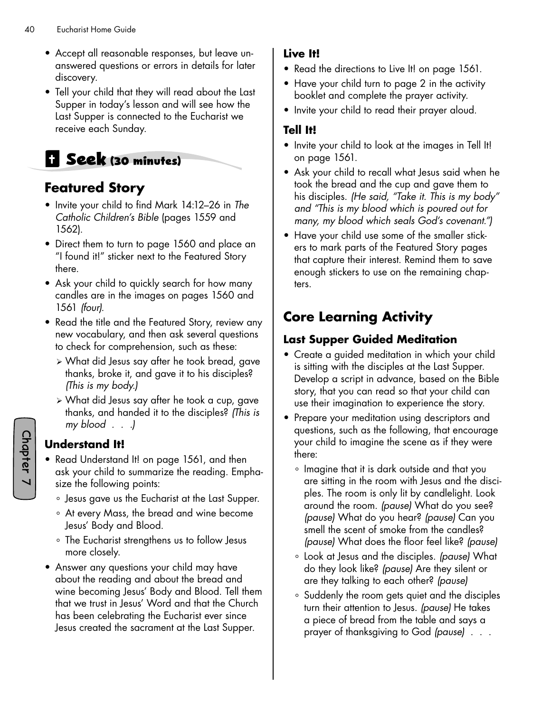- Accept all reasonable responses, but leave unanswered questions or errors in details for later discovery.
- Tell your child that they will read about the Last Supper in today's lesson and will see how the Last Supper is connected to the Eucharist we receive each Sunday.

# **Seek (30 minutes)**

## **Featured Story**

- Invite your child to find Mark 14:12–26 in *The Catholic Children's Bible* (pages 1559 and 1562).
- Direct them to turn to page 1560 and place an "I found it!" sticker next to the Featured Story there.
- Ask your child to quickly search for how many candles are in the images on pages 1560 and 1561 *(four).*
- Read the title and the Featured Story, review any new vocabulary, and then ask several questions to check for comprehension, such as these:
	- ¾ What did Jesus say after he took bread, gave thanks, broke it, and gave it to his disciples? *(This is my body.)*
	- ¾ What did Jesus say after he took a cup, gave thanks, and handed it to the disciples? *(This is my blood . . .)*

#### **Understand It!**

- Read Understand It! on page 1561, and then ask your child to summarize the reading. Emphasize the following points:
	- ° Jesus gave us the Eucharist at the Last Supper.
	- ° At every Mass, the bread and wine become Jesus' Body and Blood.
	- ° The Eucharist strengthens us to follow Jesus more closely.
- Answer any questions your child may have about the reading and about the bread and wine becoming Jesus' Body and Blood. Tell them that we trust in Jesus' Word and that the Church has been celebrating the Eucharist ever since Jesus created the sacrament at the Last Supper.

#### **Live It!**

- Read the directions to Live It! on page 1561.
- Have your child turn to page 2 in the activity booklet and complete the prayer activity.
- Invite your child to read their prayer aloud.

#### **Tell It!**

- Invite your child to look at the images in Tell It! on page 1561.
- Ask your child to recall what Jesus said when he took the bread and the cup and gave them to his disciples. *(He said, "Take it. This is my body" and "This is my blood which is poured out for many, my blood which seals God's covenant.")*
- Have your child use some of the smaller stickers to mark parts of the Featured Story pages that capture their interest. Remind them to save enough stickers to use on the remaining chapters.

# **Core Learning Activity**

#### **Last Supper Guided Meditation**

- Create a guided meditation in which your child is sitting with the disciples at the Last Supper. Develop a script in advance, based on the Bible story, that you can read so that your child can use their imagination to experience the story.
- Prepare your meditation using descriptors and questions, such as the following, that encourage your child to imagine the scene as if they were there:
	- ° Imagine that it is dark outside and that you are sitting in the room with Jesus and the disciples. The room is only lit by candlelight. Look around the room. *(pause)* What do you see? *(pause)* What do you hear? *(pause)* Can you smell the scent of smoke from the candles? *(pause)* What does the floor feel like? *(pause)*
	- ° Look at Jesus and the disciples. *(pause)* What do they look like? *(pause)* Are they silent or are they talking to each other? *(pause)*
	- ° Suddenly the room gets quiet and the disciples turn their attention to Jesus. *(pause)* He takes a piece of bread from the table and says a prayer of thanksgiving to God *(pause)* . . .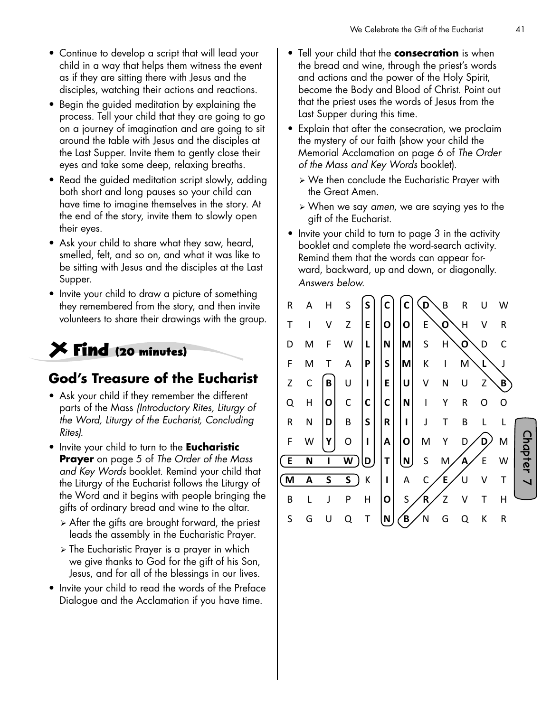- Continue to develop a script that will lead your child in a way that helps them witness the event as if they are sitting there with Jesus and the disciples, watching their actions and reactions.
- Begin the guided meditation by explaining the process. Tell your child that they are going to go on a journey of imagination and are going to sit around the table with Jesus and the disciples at the Last Supper. Invite them to gently close their eyes and take some deep, relaxing breaths.
- Read the guided meditation script slowly, adding both short and long pauses so your child can have time to imagine themselves in the story. At the end of the story, invite them to slowly open their eyes.
- Ask your child to share what they saw, heard, smelled, felt, and so on, and what it was like to be sitting with Jesus and the disciples at the Last Supper.
- Invite your child to draw a picture of something they remembered from the story, and then invite volunteers to share their drawings with the group.

# **Find (20 minutes)**

#### **God's Treasure of the Eucharist**

- Ask your child if they remember the different parts of the Mass *(Introductory Rites, Liturgy of the Word, Liturgy of the Eucharist, Concluding Rites).*
- Invite your child to turn to the **Eucharistic Prayer** on page 5 of *The Order of the Mass and Key Words* booklet. Remind your child that the Liturgy of the Eucharist follows the Liturgy of the Word and it begins with people bringing the gifts of ordinary bread and wine to the altar.
	- $\triangleright$  After the gifts are brought forward, the priest leads the assembly in the Eucharistic Prayer.
	- ¾ The Eucharistic Prayer is a prayer in which we give thanks to God for the gift of his Son, Jesus, and for all of the blessings in our lives.
- Invite your child to read the words of the Preface Dialogue and the Acclamation if you have time.
- Tell your child that the **consecration** is when the bread and wine, through the priest's words and actions and the power of the Holy Spirit, become the Body and Blood of Christ. Point out that the priest uses the words of Jesus from the Last Supper during this time.
- Explain that after the consecration, we proclaim the mystery of our faith (show your child the Memorial Acclamation on page 6 of *The Order of the Mass and Key Words* booklet).
	- ¾ We then conclude the Eucharistic Prayer with the Great Amen.
	- ¾ When we say *amen*, we are saying yes to the gift of the Eucharist.
- Invite your child to turn to page 3 in the activity booklet and complete the word-search activity. Remind them that the words can appear forward, backward, up and down, or diagonally. *Answers below.*